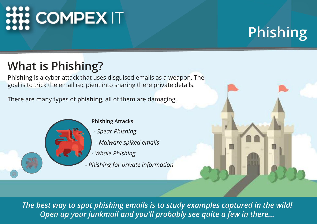# **HI COMPEX IT**

### **Phishing**

### **What is Phishing?**

**Phishing** is a cyber attack that uses disguised emails as a weapon. The goal is to trick the email recipient into sharing there private details.

There are many types of **phishing**, all of them are damaging.



#### **Phishing Attacks**

- *Spear Phishing*
- *Malware spiked emails*
- *Whale Phishing*
- *Phishing for private information*

*The best way to spot phishing emails is to study examples captured in the wild! Open up your junkmail and you'll probably see quite a few in there...*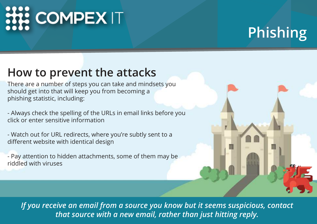# **HIL COMPEX IT**

### **Phishing**

#### **How to prevent the attacks**

There are a number of steps you can take and mindsets you should get into that will keep you from becoming a phishing statistic, including:

- Always check the spelling of the URLs in email links before you click or enter sensitive information

- Watch out for URL redirects, where you're subtly sent to a different website with identical design

- Pay attention to hidden attachments, some of them may be riddled with viruses



*If you receive an email from a source you know but it seems suspicious, contact that source with a new email, rather than just hitting reply.*